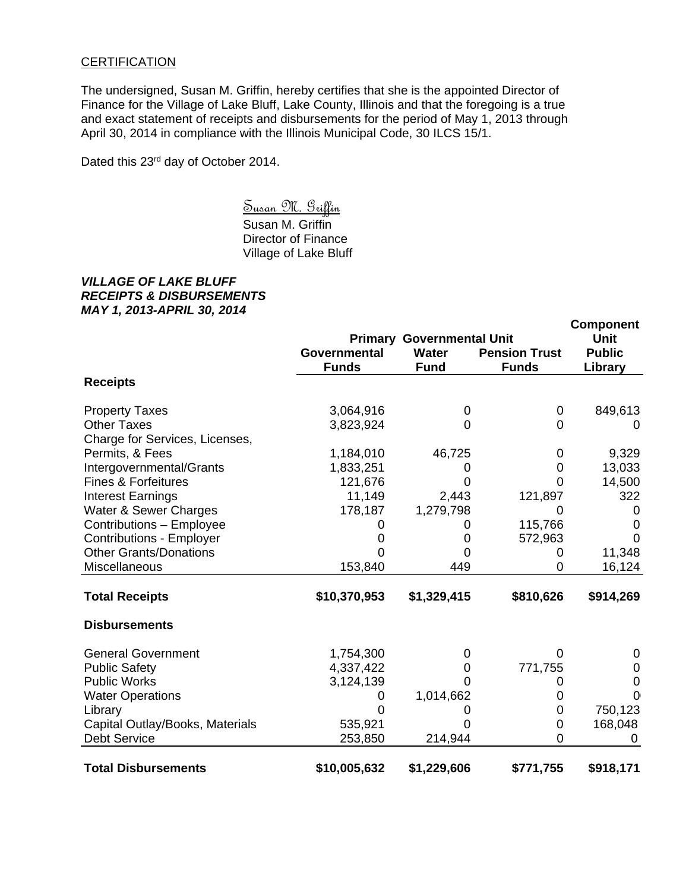## **CERTIFICATION**

The undersigned, Susan M. Griffin, hereby certifies that she is the appointed Director of Finance for the Village of Lake Bluff, Lake County, Illinois and that the foregoing is a true and exact statement of receipts and disbursements for the period of May 1, 2013 through April 30, 2014 in compliance with the Illinois Municipal Code, 30 ILCS 15/1.

Dated this 23<sup>rd</sup> day of October 2014.

 Susan M. Griffin Susan M. Griffin Director of Finance Village of Lake Bluff

## *VILLAGE OF LAKE BLUFF RECEIPTS & DISBURSEMENTS MAY 1, 2013-APRIL 30, 2014*

|                                 |                              | <b>Component</b>                                         |                                      |                                         |
|---------------------------------|------------------------------|----------------------------------------------------------|--------------------------------------|-----------------------------------------|
|                                 | Governmental<br><b>Funds</b> | <b>Primary Governmental Unit</b><br>Water<br><b>Fund</b> | <b>Pension Trust</b><br><b>Funds</b> | <b>Unit</b><br><b>Public</b><br>Library |
| <b>Receipts</b>                 |                              |                                                          |                                      |                                         |
| <b>Property Taxes</b>           | 3,064,916                    | 0                                                        | 0                                    | 849,613                                 |
| <b>Other Taxes</b>              | 3,823,924                    | 0                                                        | $\Omega$                             | 0                                       |
| Charge for Services, Licenses,  |                              |                                                          |                                      |                                         |
| Permits, & Fees                 | 1,184,010                    | 46,725                                                   | 0                                    | 9,329                                   |
| Intergovernmental/Grants        | 1,833,251                    | 0                                                        | 0                                    | 13,033                                  |
| <b>Fines &amp; Forfeitures</b>  | 121,676                      | 0                                                        | $\Omega$                             | 14,500                                  |
| <b>Interest Earnings</b>        | 11,149                       | 2,443                                                    | 121,897                              | 322                                     |
| Water & Sewer Charges           | 178,187                      | 1,279,798                                                | 0                                    | 0                                       |
| Contributions - Employee        | 0                            | 0                                                        | 115,766                              | 0                                       |
| <b>Contributions - Employer</b> | 0                            | 0                                                        | 572,963                              | $\Omega$                                |
| <b>Other Grants/Donations</b>   |                              | Ω                                                        | 0                                    | 11,348                                  |
| Miscellaneous                   | 153,840                      | 449                                                      | 0                                    | 16,124                                  |
| <b>Total Receipts</b>           | \$10,370,953                 | \$1,329,415                                              | \$810,626                            | \$914,269                               |
| <b>Disbursements</b>            |                              |                                                          |                                      |                                         |
| <b>General Government</b>       | 1,754,300                    | 0                                                        | $\Omega$                             | 0                                       |
| <b>Public Safety</b>            | 4,337,422                    | 0                                                        | 771,755                              | 0                                       |
| <b>Public Works</b>             | 3,124,139                    | 0                                                        | 0                                    | $\overline{0}$                          |
| <b>Water Operations</b>         | 0                            | 1,014,662                                                | 0                                    | O(                                      |
| Library                         | $\Omega$                     | O                                                        | 0                                    | 750,123                                 |
| Capital Outlay/Books, Materials | 535,921                      |                                                          | 0                                    | 168,048                                 |
| <b>Debt Service</b>             | 253,850                      | 214,944                                                  | 0                                    |                                         |
| <b>Total Disbursements</b>      | \$10,005,632                 | \$1,229,606                                              | \$771,755                            | \$918,171                               |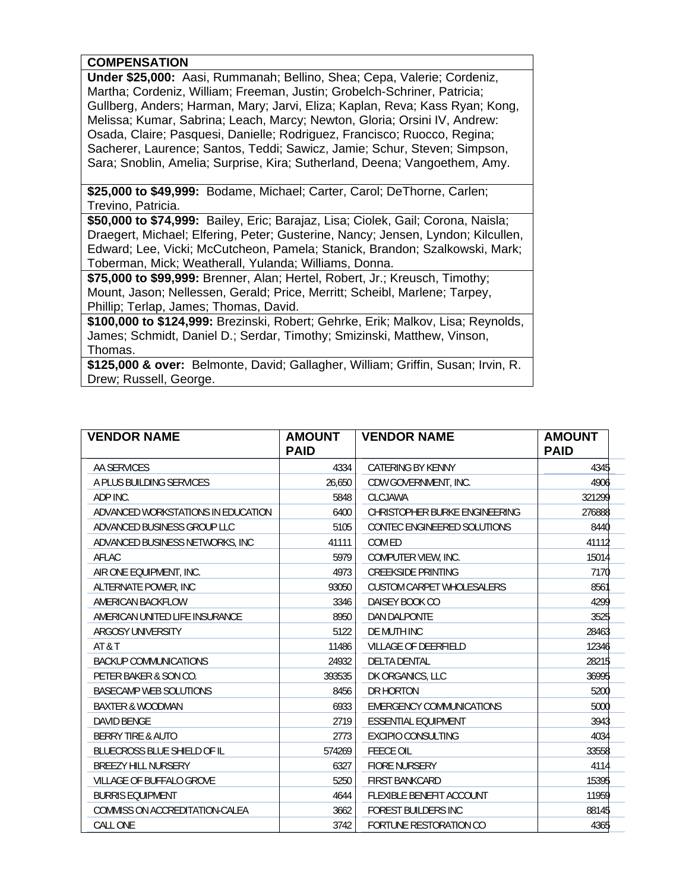## **COMPENSATION**

**Under \$25,000:** Aasi, Rummanah; Bellino, Shea; Cepa, Valerie; Cordeniz, Martha; Cordeniz, William; Freeman, Justin; Grobelch-Schriner, Patricia; Gullberg, Anders; Harman, Mary; Jarvi, Eliza; Kaplan, Reva; Kass Ryan; Kong, Melissa; Kumar, Sabrina; Leach, Marcy; Newton, Gloria; Orsini IV, Andrew: Osada, Claire; Pasquesi, Danielle; Rodriguez, Francisco; Ruocco, Regina; Sacherer, Laurence; Santos, Teddi; Sawicz, Jamie; Schur, Steven; Simpson, Sara; Snoblin, Amelia; Surprise, Kira; Sutherland, Deena; Vangoethem, Amy.

**\$25,000 to \$49,999:** Bodame, Michael; Carter, Carol; DeThorne, Carlen; Trevino, Patricia.

**\$50,000 to \$74,999:** Bailey, Eric; Barajaz, Lisa; Ciolek, Gail; Corona, Naisla; Draegert, Michael; Elfering, Peter; Gusterine, Nancy; Jensen, Lyndon; Kilcullen, Edward; Lee, Vicki; McCutcheon, Pamela; Stanick, Brandon; Szalkowski, Mark; Toberman, Mick; Weatherall, Yulanda; Williams, Donna.

**\$75,000 to \$99,999:** Brenner, Alan; Hertel, Robert, Jr.; Kreusch, Timothy; Mount, Jason; Nellessen, Gerald; Price, Merritt; Scheibl, Marlene; Tarpey, Phillip; Terlap, James; Thomas, David.

**\$100,000 to \$124,999:** Brezinski, Robert; Gehrke, Erik; Malkov, Lisa; Reynolds, James; Schmidt, Daniel D.; Serdar, Timothy; Smizinski, Matthew, Vinson, Thomas.

**\$125,000 & over:** Belmonte, David; Gallagher, William; Griffin, Susan; Irvin, R. Drew; Russell, George.

| <b>VENDOR NAME</b>                 | <b>AMOUNT</b><br><b>PAID</b> | <b>VENDOR NAME</b>               | <b>AMOUNT</b><br><b>PAID</b> |
|------------------------------------|------------------------------|----------------------------------|------------------------------|
| AA SERVICES                        | 4334                         | <b>CATERING BY KENNY</b>         | 4345                         |
| A PLUS BUILDING SERVICES           | 26,650                       | CDW GOVERNMENT, INC.             | 4906                         |
| ADP INC.                           | 5848                         | <b>CLCJAWA</b>                   | 321299                       |
| ADVANCED WORKSTATIONS IN EDUCATION | 6400                         | CHRISTOPHER BURKE ENGINEERING    | 276888                       |
| ADVANCED BUSINESS GROUP LLC        | 5105                         | CONTEC ENGINEERED SOLUTIONS      | 8440                         |
| ADVANCED BUSINESS NETWORKS, INC.   | 41111                        | COM ED                           | 41112                        |
| AFLAC                              | 5979                         | COMPUTER VIEW, INC.              | 15014                        |
| AIR ONE EQUIPMENT, INC.            | 4973                         | <b>CREEKSIDE PRINTING</b>        | 7170                         |
| ALTERNATE POWER, INC               | 93050                        | <b>CUSTOM CARPET WHOLESALERS</b> | 8561                         |
| AMERICAN BACKFLOW                  | 3346                         | DAISEY BOOK CO                   | 4299                         |
| AMERICAN UNITED LIFE INSURANCE     | 8950                         | <b>DAN DALPONTE</b>              | 3525                         |
| ARGOSY UNIVERSITY                  | 5122                         | DE MUTH INC                      | 28463                        |
| AT & T                             | 11486                        | <b>VILLAGE OF DEERFIELD</b>      | 12346                        |
| <b>BACKUP COMMUNICATIONS</b>       | 24932                        | <b>DELTA DENTAL</b>              | 28215                        |
| PETER BAKER & SON CO.              | 393535                       | DK ORGANICS, LLC                 | 36995                        |
| <b>BASECAMP WEB SOLUTIONS</b>      | 8456                         | DR HORTON                        | 5200                         |
| <b>BAXTER &amp; WOODMAN</b>        | 6933                         | <b>EMERGENCY COMMUNICATIONS</b>  | 5000                         |
| DAVID BENGE                        | 2719                         | <b>ESSENTIAL EQUIPMENT</b>       | 3943                         |
| <b>BERRY TIRE &amp; AUTO</b>       | 2773                         | <b>EXCIPIO CONSULTING</b>        | 4034                         |
| <b>BLUECROSS BLUE SHIELD OF IL</b> | 574269                       | <b>FEECE OIL</b>                 | 33558                        |
| <b>BREEZY HILL NURSERY</b>         | 6327                         | <b>FIORE NURSERY</b>             | 4114                         |
| <b>VILLAGE OF BUFFALO GROVE</b>    | 5250                         | <b>FIRST BANKCARD</b>            | 15395                        |
| <b>BURRIS EQUIPMENT</b>            | 4644                         | <b>FLEXIBLE BENEFIT ACCOUNT</b>  | 11959                        |
| COMMISS ON ACCREDITATION-CALEA     | 3662                         | <b>FOREST BUILDERS INC</b>       | 88145                        |
| <b>CALL ONE</b>                    | 3742                         | FORTUNE RESTORATION CO           | 4365                         |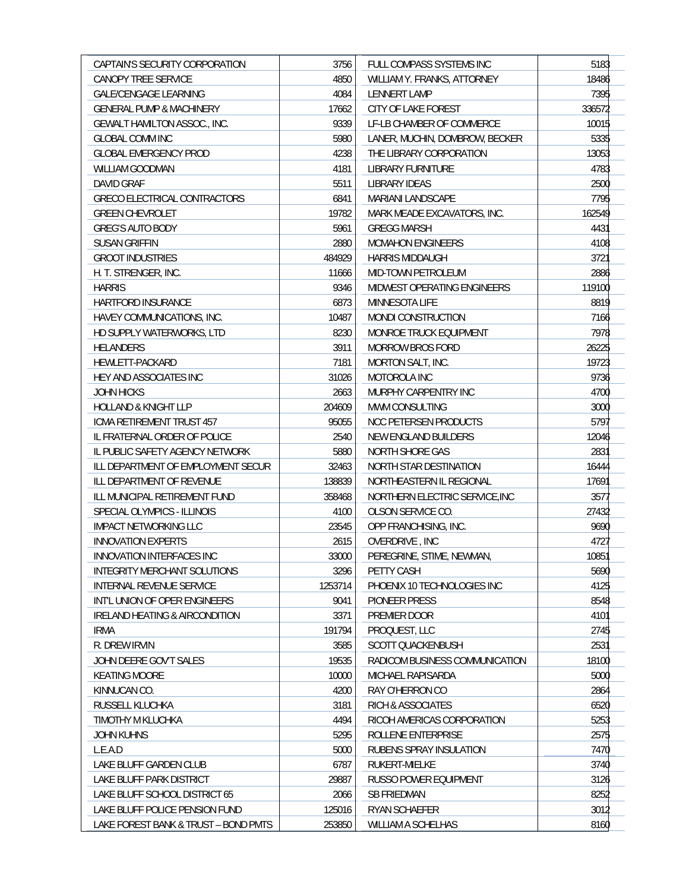| CAPTAIN'S SECURITY CORPORATION       | 3756          | FULL COMPASS SYSTEMS INC                          | 5183   |
|--------------------------------------|---------------|---------------------------------------------------|--------|
| CANOPY TREE SERVICE                  | 4850          | WILLIAM Y. FRANKS, ATTORNEY                       | 18486  |
| <b>GALE/CENGAGE LEARNING</b>         | 4084          | <b>LENNERT LAMP</b>                               | 7395   |
| <b>GENERAL PUMP &amp; MACHINERY</b>  | 17662         | CITY OF LAKE FOREST                               | 336572 |
| <b>GEWALT HAMILTON ASSOC., INC.</b>  | 9339          | LF-LB CHAMBER OF COMMERCE                         | 10015  |
| <b>GLOBAL COMM INC</b>               | 5980          | LANER, MUCHIN, DOMBROW, BECKER                    | 5335   |
| <b>GLOBAL EMERGENCY PROD</b>         | 4238          | THE LIBRARY CORPORATION                           | 13053  |
| <b>WILLIAM GOODMAN</b>               | 4181          | <b>LIBRARY FURNITURE</b>                          | 4783   |
| DAVID GRAF                           | 5511          | <b>LIBRARY IDEAS</b>                              | 2500   |
| GRECO ELECTRICAL CONTRACTORS         | 6841          | <b>MARIANI LANDSCAPE</b>                          | 7795   |
| <b>GREEN CHEVROLET</b>               | 19782         | MARK MEADE EXCAVATORS, INC.                       | 162549 |
| <b>GREG'S AUTO BODY</b>              | 5961          | <b>GREGG MARSH</b>                                | 4431   |
| <b>SUSAN GRIFFIN</b>                 | 2880          | <b>MCMAHON ENGINEERS</b>                          | 4108   |
| <b>GROOT INDUSTRIES</b>              | 484929        | <b>HARRIS MIDDAUGH</b>                            | 3721   |
|                                      |               |                                                   |        |
| H. T. STRENGER, INC.                 | 11666<br>9346 | MID-TOWN PETROLEUM<br>MIDWEST OPERATING ENGINEERS | 2886   |
| <b>HARRIS</b>                        |               |                                                   | 119100 |
| <b>HARTFORD INSURANCE</b>            | 6873          | <b>MINNESOTA LIFE</b>                             | 8819   |
| HAVEY COMMUNICATIONS, INC.           | 10487         | <b>MONDI CONSTRUCTION</b>                         | 7166   |
| HD SUPPLY WATERWORKS, LTD            | 8230          | MONROE TRUCK EQUIPMENT                            | 7978   |
| <b>HELANDERS</b>                     | 3911          | <b>MORROW BROS FORD</b>                           | 26225  |
| HEWLETT-PACKARD                      | 7181          | <b>MORTON SALT, INC.</b>                          | 19723  |
| HEY AND ASSOCIATES INC               | 31026         | MOTOROLA INC                                      | 9736   |
| <b>JOHN HICKS</b>                    | 2663          | MURPHY CARPENTRY INC                              | 4700   |
| <b>HOLLAND &amp; KNIGHT LLP</b>      | 204609        | MWM CONSULTING                                    | 3000   |
| ICMA RETIREMENT TRUST 457            | 95055         | <b>NCC PETERSEN PRODUCTS</b>                      | 5797   |
| IL FRATERNAL ORDER OF POLICE         | 2540          | NEW ENGLAND BUILDERS                              | 12046  |
| IL PUBLIC SAFETY AGENCY NETWORK      | 5880          | NORTH SHORE GAS                                   | 2831   |
| ILL DEPARTMENT OF EMPLOYMENT SECUR   | 32463         | NORTH STAR DESTINATION                            | 16444  |
| ILL DEPARTMENT OF REVENUE            | 138839        | NORTHEASTERN IL REGIONAL                          | 17691  |
| ILL MUNICIPAL RETIREMENT FUND        | 358468        | NORTHERN ELECTRIC SERVICE, INC                    | 3577   |
| SPECIAL OLYMPICS - ILLINOIS          | 4100          | OLSON SERVICE CO.                                 | 27432  |
| <b>IMPACT NETWORKING LLC</b>         | 23545         | OPP FRANCHISING, INC.                             | 9690   |
| <b>INNOVATION EXPERTS</b>            | 2615          | OVERDRIVE, INC                                    | 4727   |
| INNOVATION INTERFACES INC            | 33000         | PEREGRINE, STIME, NEWMAN,                         | 10851  |
| INTEGRITY MERCHANT SOLUTIONS         | 3296          | PETTY CASH                                        | 5690   |
| INTERNAL REVENUE SERVICE             | 1253714       | PHOENIX 10 TECHNOLOGIES INC                       | 4125   |
| INT'L UNION OF OPER ENGINEERS        | 9041          | PIONEER PRESS                                     | 8548   |
| IRELAND HEATING & AIRCONDITION       | 3371          | PREMIER DOOR                                      | 4101   |
| <b>IRMA</b>                          | 191794        | PROQUEST, LLC                                     | 2745   |
| R. DREW IRVIN                        | 3585          | <b>SCOTT QUACKENBUSH</b>                          | 2531   |
| JOHN DEERE GOV'T SALES               | 19535         | RADICOM BUSINESS COMMUNICATION                    | 18100  |
| <b>KEATING MOORE</b>                 | 10000         | MICHAEL RAPISARDA                                 | 5000   |
| KINNUCAN CO.                         | 4200          | RAY O'HERRON CO                                   | 2864   |
| RUSSELL KLUCHKA                      | 3181          | <b>RICH &amp; ASSOCIATES</b>                      | 6520   |
| TIMOTHY M KLUCHKA                    | 4494          | RICOH AMERICAS CORPORATION                        | 5253   |
| <b>JOHN KUHNS</b>                    | 5295          | ROLLENE ENTERPRISE                                | 2575   |
| L.E.A.D                              | 5000          | RUBENS SPRAY INSULATION                           | 7470   |
| LAKE BLUFF GARDEN CLUB               | 6787          | RUKERT-MIELKE                                     | 3740   |
| LAKE BLUFF PARK DISTRICT             | 29887         | RUSSO POWER EQUIPMENT                             | 3126   |
| LAKE BLUFF SCHOOL DISTRICT 65        | 2066          | <b>SB FRIEDMAN</b>                                | 8252   |
|                                      |               |                                                   |        |
| LAKE BLUFF POLICE PENSION FUND       | 125016        | <b>RYAN SCHAEFER</b>                              | 3012   |
| LAKE FOREST BANK & TRUST - BOND PMTS | 253850        | WILLIAM A SCHELHAS                                | 8160   |